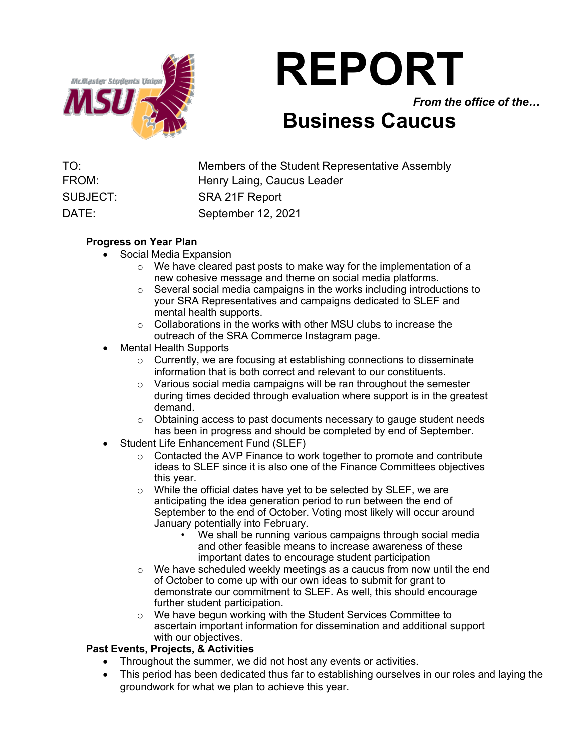

# **REPORT**

*From the office of the…*

## **Business Caucus**

| TO:      | Members of the Student Representative Assembly |
|----------|------------------------------------------------|
| FROM:    | Henry Laing, Caucus Leader                     |
| SUBJECT: | SRA 21F Report                                 |
| DATE:    | September 12, 2021                             |

#### **Progress on Year Plan**

- Social Media Expansion
	- $\circ$  We have cleared past posts to make way for the implementation of a new cohesive message and theme on social media platforms.
	- o Several social media campaigns in the works including introductions to your SRA Representatives and campaigns dedicated to SLEF and mental health supports.
	- o Collaborations in the works with other MSU clubs to increase the outreach of the SRA Commerce Instagram page.
- Mental Health Supports
	- o Currently, we are focusing at establishing connections to disseminate information that is both correct and relevant to our constituents.
	- o Various social media campaigns will be ran throughout the semester during times decided through evaluation where support is in the greatest demand.
	- $\circ$  Obtaining access to past documents necessary to gauge student needs has been in progress and should be completed by end of September.
- Student Life Enhancement Fund (SLEF)
	- o Contacted the AVP Finance to work together to promote and contribute ideas to SLEF since it is also one of the Finance Committees objectives this year.
	- o While the official dates have yet to be selected by SLEF, we are anticipating the idea generation period to run between the end of September to the end of October. Voting most likely will occur around January potentially into February.
		- We shall be running various campaigns through social media and other feasible means to increase awareness of these important dates to encourage student participation
	- o We have scheduled weekly meetings as a caucus from now until the end of October to come up with our own ideas to submit for grant to demonstrate our commitment to SLEF. As well, this should encourage further student participation.
	- o We have begun working with the Student Services Committee to ascertain important information for dissemination and additional support with our objectives.

### **Past Events, Projects, & Activities**

- Throughout the summer, we did not host any events or activities.
- This period has been dedicated thus far to establishing ourselves in our roles and laying the groundwork for what we plan to achieve this year.